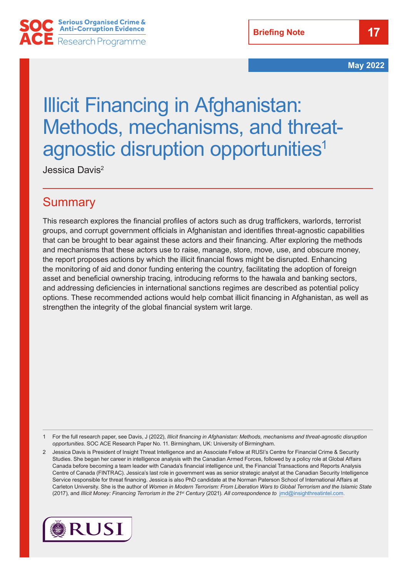**Briefing Note**

**May 2022**

# Illicit Financing in Afghanistan: Methods, mechanisms, and threatagnostic disruption opportunities<sup>1</sup>

Jessica Davis2

#### **Summary**

This research explores the financial profiles of actors such as drug traffickers, warlords, terrorist groups, and corrupt government officials in Afghanistan and identifies threat-agnostic capabilities that can be brought to bear against these actors and their financing. After exploring the methods and mechanisms that these actors use to raise, manage, store, move, use, and obscure money, the report proposes actions by which the illicit financial flows might be disrupted. Enhancing the monitoring of aid and donor funding entering the country, facilitating the adoption of foreign asset and beneficial ownership tracing, introducing reforms to the hawala and banking sectors, and addressing deficiencies in international sanctions regimes are described as potential policy options. These recommended actions would help combat illicit financing in Afghanistan, as well as strengthen the integrity of the global financial system writ large.

1 For the full research paper, see Davis, J (2022), *Illicit financing in Afghanistan: Methods, mechanisms and threat-agnostic disruption opportunities.* SOC ACE Research Paper No. 11. Birmingham, UK: University of Birmingham.

2 Jessica Davis is President of Insight Threat Intelligence and an Associate Fellow at RUSI's Centre for Financial Crime & Security Studies. She began her career in intelligence analysis with the Canadian Armed Forces, followed by a policy role at Global Affairs Canada before becoming a team leader with Canada's financial intelligence unit, the Financial Transactions and Reports Analysis Centre of Canada (FINTRAC). Jessica's last role in government was as senior strategic analyst at the Canadian Security Intelligence Service responsible for threat financing. Jessica is also PhD candidate at the Norman Paterson School of International Affairs at Carleton University. She is the author of *Women in Modern Terrorism: From Liberation Wars to Global Terrorism and the Islamic State*  (2017)*,* and *Illicit Money: Financing Terrorism in the 21st Century* (2021)*. All correspondence to* [jmd@insighthreatintel.com](mailto:jmd@insighthreatintel.com).

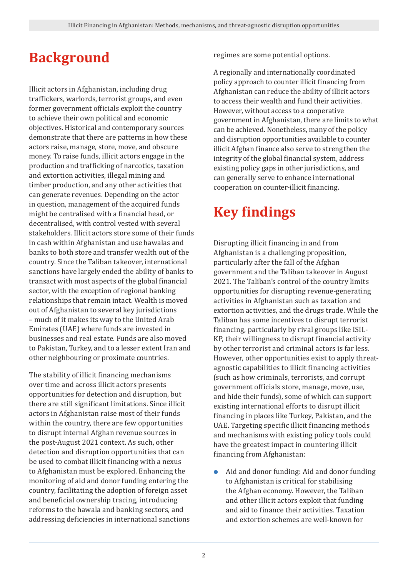## **Background**

Illicit actors in Afghanistan, including drug traffickers, warlords, terrorist groups, and even former government officials exploit the country to achieve their own political and economic objectives. Historical and contemporary sources demonstrate that there are patterns in how these actors raise, manage, store, move, and obscure money. To raise funds, illicit actors engage in the production and trafficking of narcotics, taxation and extortion activities, illegal mining and timber production, and any other activities that can generate revenues. Depending on the actor in question, management of the acquired funds might be centralised with a financial head, or decentralised, with control vested with several stakeholders. Illicit actors store some of their funds in cash within Afghanistan and use hawalas and banks to both store and transfer wealth out of the country. Since the Taliban takeover, international sanctions have largely ended the ability of banks to transact with most aspects of the global financial sector, with the exception of regional banking relationships that remain intact. Wealth is moved out of Afghanistan to several key jurisdictions – much of it makes its way to the United Arab Emirates (UAE) where funds are invested in businesses and real estate. Funds are also moved to Pakistan, Turkey, and to a lesser extent Iran and other neighbouring or proximate countries.

The stability of illicit financing mechanisms over time and across illicit actors presents opportunities for detection and disruption, but there are still significant limitations. Since illicit actors in Afghanistan raise most of their funds within the country, there are few opportunities to disrupt internal Afghan revenue sources in the post-August 2021 context. As such, other detection and disruption opportunities that can be used to combat illicit financing with a nexus to Afghanistan must be explored. Enhancing the monitoring of aid and donor funding entering the country, facilitating the adoption of foreign asset and beneficial ownership tracing, introducing reforms to the hawala and banking sectors, and addressing deficiencies in international sanctions regimes are some potential options.

A regionally and internationally coordinated policy approach to counter illicit financing from Afghanistan can reduce the ability of illicit actors to access their wealth and fund their activities. However, without access to a cooperative government in Afghanistan, there are limits to what can be achieved. Nonetheless, many of the policy and disruption opportunities available to counter illicit Afghan finance also serve to strengthen the integrity of the global financial system, address existing policy gaps in other jurisdictions, and can generally serve to enhance international cooperation on counter-illicit financing.

## **Key findings**

Disrupting illicit financing in and from Afghanistan is a challenging proposition, particularly after the fall of the Afghan government and the Taliban takeover in August 2021. The Taliban's control of the country limits opportunities for disrupting revenue-generating activities in Afghanistan such as taxation and extortion activities, and the drugs trade. While the Taliban has some incentives to disrupt terrorist financing, particularly by rival groups like ISIL-KP, their willingness to disrupt financial activity by other terrorist and criminal actors is far less. However, other opportunities exist to apply threatagnostic capabilities to illicit financing activities (such as how criminals, terrorists, and corrupt government officials store, manage, move, use, and hide their funds), some of which can support existing international efforts to disrupt illicit financing in places like Turkey, Pakistan, and the UAE. Targeting specific illicit financing methods and mechanisms with existing policy tools could have the greatest impact in countering illicit financing from Afghanistan:

● Aid and donor funding: Aid and donor funding to Afghanistan is critical for stabilising the Afghan economy. However, the Taliban and other illicit actors exploit that funding and aid to finance their activities. Taxation and extortion schemes are well-known for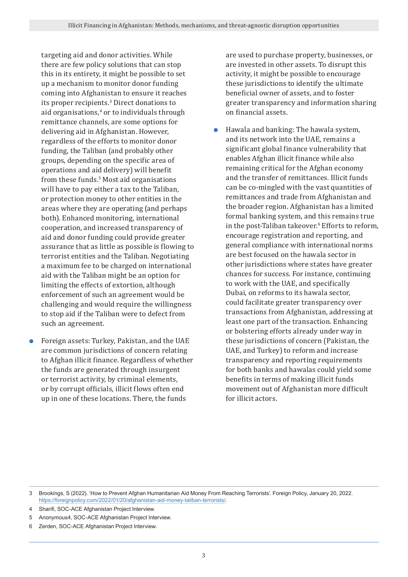targeting aid and donor activities. While there are few policy solutions that can stop this in its entirety, it might be possible to set up a mechanism to monitor donor funding coming into Afghanistan to ensure it reaches its proper recipients.<sup>3</sup> Direct donations to aid organisations,<sup>4</sup> or to individuals through remittance channels, are some options for delivering aid in Afghanistan. However, regardless of the efforts to monitor donor funding, the Taliban (and probably other groups, depending on the specific area of operations and aid delivery) will benefit from these funds.<sup>5</sup> Most aid organisations will have to pay either a tax to the Taliban, or protection money to other entities in the areas where they are operating (and perhaps both). Enhanced monitoring, international cooperation, and increased transparency of aid and donor funding could provide greater assurance that as little as possible is flowing to terrorist entities and the Taliban. Negotiating a maximum fee to be charged on international aid with the Taliban might be an option for limiting the effects of extortion, although enforcement of such an agreement would be challenging and would require the willingness to stop aid if the Taliban were to defect from such an agreement.

● Foreign assets: Turkey, Pakistan, and the UAE are common jurisdictions of concern relating to Afghan illicit finance. Regardless of whether the funds are generated through insurgent or terrorist activity, by criminal elements, or by corrupt officials, illicit flows often end up in one of these locations. There, the funds

are used to purchase property, businesses, or are invested in other assets. To disrupt this activity, it might be possible to encourage these jurisdictions to identify the ultimate beneficial owner of assets, and to foster greater transparency and information sharing on financial assets.

● Hawala and banking: The hawala system, and its network into the UAE, remains a significant global finance vulnerability that enables Afghan illicit finance while also remaining critical for the Afghan economy and the transfer of remittances. Illicit funds can be co-mingled with the vast quantities of remittances and trade from Afghanistan and the broader region. Afghanistan has a limited formal banking system, and this remains true in the post-Taliban takeover.<sup>6</sup> Efforts to reform, encourage registration and reporting, and general compliance with international norms are best focused on the hawala sector in other jurisdictions where states have greater chances for success. For instance, continuing to work with the UAE, and specifically Dubai, on reforms to its hawala sector, could facilitate greater transparency over transactions from Afghanistan, addressing at least one part of the transaction. Enhancing or bolstering efforts already under way in these jurisdictions of concern (Pakistan, the UAE, and Turkey) to reform and increase transparency and reporting requirements for both banks and hawalas could yield some benefits in terms of making illicit funds movement out of Afghanistan more difficult for illicit actors.

<sup>3</sup> Brookings, S (2022). 'How to Prevent Afghan Humanitarian Aid Money From Reaching Terrorists'. Foreign Policy, January 20, 2022. [https://foreignpolicy.com/2022/01/20/afghanistan-aid-money-taliban-terrorists/.](https://foreignpolicy.com/2022/01/20/afghanistan-aid-money-taliban-terrorists/)

<sup>4</sup> Sharifi, SOC-ACE Afghanistan Project Interview.

<sup>5</sup> Anonymous4, SOC-ACE Afghanistan Project Interview.

<sup>6</sup> Zerden, SOC-ACE Afghanistan Project Interview.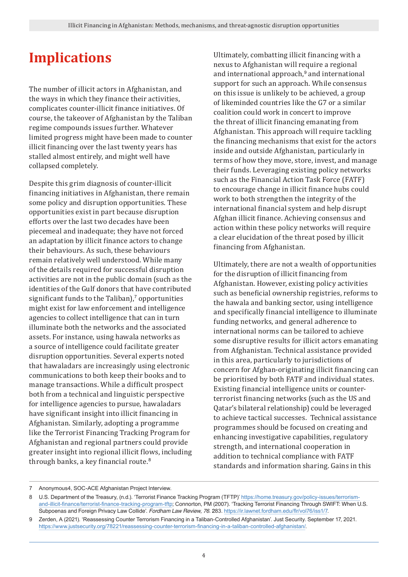### **Implications**

The number of illicit actors in Afghanistan, and the ways in which they finance their activities, complicates counter-illicit finance initiatives. Of course, the takeover of Afghanistan by the Taliban regime compounds issues further. Whatever limited progress might have been made to counter illicit financing over the last twenty years has stalled almost entirely, and might well have collapsed completely.

Despite this grim diagnosis of counter-illicit financing initiatives in Afghanistan, there remain some policy and disruption opportunities. These opportunities exist in part because disruption efforts over the last two decades have been piecemeal and inadequate; they have not forced an adaptation by illicit finance actors to change their behaviours. As such, these behaviours remain relatively well understood. While many of the details required for successful disruption activities are not in the public domain (such as the identities of the Gulf donors that have contributed significant funds to the Taliban), $^7$  opportunities might exist for law enforcement and intelligence agencies to collect intelligence that can in turn illuminate both the networks and the associated assets. For instance, using hawala networks as a source of intelligence could facilitate greater disruption opportunities. Several experts noted that hawaladars are increasingly using electronic communications to both keep their books and to manage transactions. While a difficult prospect both from a technical and linguistic perspective for intelligence agencies to pursue, hawaladars have significant insight into illicit financing in Afghanistan. Similarly, adopting a programme like the Terrorist Financing Tracking Program for Afghanistan and regional partners could provide greater insight into regional illicit flows, including through banks, a key financial route.<sup>8</sup>

Ultimately, combatting illicit financing with a nexus to Afghanistan will require a regional and international approach,<sup>9</sup> and international support for such an approach. While consensus on this issue is unlikely to be achieved, a group of likeminded countries like the G7 or a similar coalition could work in concert to improve the threat of illicit financing emanating from Afghanistan. This approach will require tackling the financing mechanisms that exist for the actors inside and outside Afghanistan, particularly in terms of how they move, store, invest, and manage their funds. Leveraging existing policy networks such as the Financial Action Task Force (FATF) to encourage change in illicit finance hubs could work to both strengthen the integrity of the international financial system and help disrupt Afghan illicit finance. Achieving consensus and action within these policy networks will require a clear elucidation of the threat posed by illicit financing from Afghanistan.

Ultimately, there are not a wealth of opportunities for the disruption of illicit financing from Afghanistan. However, existing policy activities such as beneficial ownership registries, reforms to the hawala and banking sector, using intelligence and specifically financial intelligence to illuminate funding networks, and general adherence to international norms can be tailored to achieve some disruptive results for illicit actors emanating from Afghanistan. Technical assistance provided in this area, particularly to jurisdictions of concern for Afghan-originating illicit financing can be prioritised by both FATF and individual states. Existing financial intelligence units or counterterrorist financing networks (such as the US and Qatar's bilateral relationship) could be leveraged to achieve tactical successes. Technical assistance programmes should be focused on creating and enhancing investigative capabilities, regulatory strength, and international cooperation in addition to technical compliance with FATF standards and information sharing. Gains in this

<sup>7</sup> Anonymous4, SOC-ACE Afghanistan Project Interview.

<sup>8</sup> U.S. Department of the Treasury, (n.d.). 'Terrorist Finance Tracking Program (TFTP)' [https://home.treasury.gov/policy-issues/terrorism](https://home.treasury.gov/policy-issues/terrorism-and-illicit-finance/terrorist-finance-tracking-program-tftp)[and-illicit-finance/terrorist-finance-tracking-program-tftp](https://home.treasury.gov/policy-issues/terrorism-and-illicit-finance/terrorist-finance-tracking-program-tftp); Connorton, PM (2007). '[Tracking Terrorist Financing Through SWIFT: When U.S.](https://ir.lawnet.fordham.edu/cgi/viewcontent.cgi?article=4298&context=flr)  [Subpoenas and Foreign Privacy Law Collide](https://ir.lawnet.fordham.edu/cgi/viewcontent.cgi?article=4298&context=flr)'. *Fordham Law Review, 76*. 283. [https://ir.lawnet.fordham.edu/flr/vol76/iss1/7.](https://ir.lawnet.fordham.edu/flr/vol76/iss1/7)

<sup>9</sup> Zerden, A (2021). ['Reassessing Counter Terrorism Financing in a Taliban-Controlled Afghanistan](https://www.justsecurity.org/78221/reassessing-counter-terrorism-financing-in-a-taliban-controlled-afghanistan/)'. Just Security. September 17, 2021. [https://www.justsecurity.org/78221/reassessing-counter-terrorism-financing-in-a-taliban-controlled-afghanistan/.](https://www.justsecurity.org/78221/reassessing-counter-terrorism-financing-in-a-taliban-controlled-afghanistan/)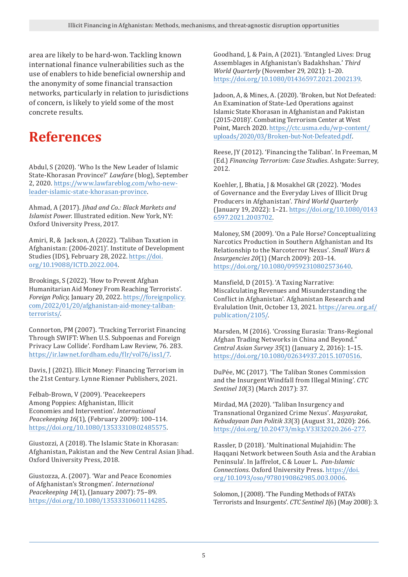area are likely to be hard-won. Tackling known international finance vulnerabilities such as the use of enablers to hide beneficial ownership and the anonymity of some financial transaction networks, particularly in relation to jurisdictions of concern, is likely to yield some of the most concrete results.

#### **References**

Abdul, S (2020). 'Who Is the New Leader of Islamic State-Khorasan Province?' *Lawfare* (blog), September 2, 2020. [https://www.lawfareblog.com/who-new](https://www.lawfareblog.com/who-new-leader-islamic-state-khorasan-province)[leader-islamic-state-khorasan-province.](https://www.lawfareblog.com/who-new-leader-islamic-state-khorasan-province)

Ahmad, A (2017). *Jihad and Co.: Black Markets and Islamist Power*. Illustrated edition. New York, NY: Oxford University Press, 2017.

Amiri, R, & Jackson, A (2022). 'Taliban Taxation in Afghanistan: (2006-2021)'. Institute of Development Studies (IDS), February 28, 2022. [https://doi.](https://doi.org/10.19088/ICTD.2022.004) [org/10.19088/ICTD.2022.004](https://doi.org/10.19088/ICTD.2022.004).

Brookings, S (2022). 'How to Prevent Afghan Humanitarian Aid Money From Reaching Terrorists'. *Foreign Policy*, January 20, 2022. [https://foreignpolicy.](https://foreignpolicy.com/2022/01/20/afghanistan-aid-money-taliban-terrorists/) [com/2022/01/20/afghanistan-aid-money-taliban](https://foreignpolicy.com/2022/01/20/afghanistan-aid-money-taliban-terrorists/)[terrorists/.](https://foreignpolicy.com/2022/01/20/afghanistan-aid-money-taliban-terrorists/)

Connorton, PM (2007). '[Tracking Terrorist Financing](https://ir.lawnet.fordham.edu/cgi/viewcontent.cgi?article=4298&context=flr)  [Through SWIFT: When U.S. Subpoenas and Foreign](https://ir.lawnet.fordham.edu/cgi/viewcontent.cgi?article=4298&context=flr)  [Privacy Law Collide](https://ir.lawnet.fordham.edu/cgi/viewcontent.cgi?article=4298&context=flr)'. Fordham Law Review, 76. 283. [https://ir.lawnet.fordham.edu/flr/vol76/iss1/7.](https://ir.lawnet.fordham.edu/flr/vol76/iss1/7)

Davis, J (2021). Illicit Money: Financing Terrorism in the 21st Century. Lynne Rienner Publishers, 2021.

Felbab-Brown, V (2009). 'Peacekeepers Among Poppies: Afghanistan, Illicit Economies and Intervention'. *International Peacekeeping 16*(1), (February 2009): 100–114. <https://doi.org/10.1080/13533310802485575>.

Giustozzi, A (2018). The Islamic State in Khorasan: Afghanistan, Pakistan and the New Central Asian Jihad. Oxford University Press, 2018.

Giustozza, A. (2007). 'War and Peace Economies of Afghanistan's Strongmen'. *International Peacekeeping 14*(1), (January 2007): 75–89. <https://doi.org/10.1080/13533310601114285>.

Goodhand, J, & Pain, A (2021). 'Entangled Lives: Drug Assemblages in Afghanistan's Badakhshan.' *Third World Quarterly* (November 29, 2021): 1–20. <https://doi.org/10.1080/01436597.2021.2002139>.

Jadoon, A, & Mines, A. (2020). 'Broken, but Not Defeated: An Examination of State-Led Operations against Islamic State Khorasan in Afghanistan and Pakistan (2015-2018)'. Combating Terrorism Center at West Point, March 2020. [https://ctc.usma.edu/wp-content/](https://ctc.usma.edu/wp-content/uploads/2020/03/Broken-but-Not-Defeated.pdf) [uploads/2020/03/Broken-but-Not-Defeated.pdf.](https://ctc.usma.edu/wp-content/uploads/2020/03/Broken-but-Not-Defeated.pdf)

Reese, JY (2012). 'Financing the Taliban'. In Freeman, M (Ed.) *Financing Terrorism: Case Studies*. Ashgate: Surrey, 2012.

Koehler, J, Bhatia, J & Mosakhel GR (2022). 'Modes of Governance and the Everyday Lives of Illicit Drug Producers in Afghanistan'. *Third World Quarterly* (January 19, 2022): 1–21. [https://doi.org/10.1080/0143](https://doi.org/10.1080/01436597.2021.2003702) [6597.2021.2003702.](https://doi.org/10.1080/01436597.2021.2003702)

Maloney, SM (2009). 'On a Pale Horse? Conceptualizing Narcotics Production in Southern Afghanistan and Its Relationship to the Narcoterror Nexus'. *Small Wars & Insurgencies 20*(1) (March 2009): 203–14. [https://doi.org/10.1080/09592310802573640.](https://doi.org/10.1080/09592310802573640)

Mansfield, D (2015). 'A Taxing Narrative: Miscalculating Revenues and Misunderstanding the Conflict in Afghanistan'. Afghanistan Research and Evalulation Unit, October 13, 2021. [https://areu.org.af/](https://areu.org.af/publication/2105/) [publication/2105/.](https://areu.org.af/publication/2105/)

Marsden, M (2016). 'Crossing Eurasia: Trans-Regional Afghan Trading Networks in China and Beyond." *Central Asian Survey 35*(1) (January 2, 2016): 1–15. <https://doi.org/10.1080/02634937.2015.1070516>.

DuPée, MC (2017). 'The Taliban Stones Commission and the Insurgent Windfall from Illegal Mining'. *CTC Sentinel 10*(3) (March 2017): 37.

Mirdad, MA (2020). 'Taliban Insurgency and Transnational Organized Crime Nexus'. *Masyarakat, Kebudayaan Dan Politik 33*(3) (August 31, 2020): 266. <https://doi.org/10.20473/mkp.V33I32020.266-277>.

Rassler, D (2018). 'Multinational Mujahidin: The Haqqani Network between South Asia and the Arabian Peninsula'. In Jaffrelot, C & Louer L. *Pan-Islamic Connections*. Oxford University Press. [https://doi.](https://doi.org/10.1093/oso/9780190862985.003.0006) [org/10.1093/oso/9780190862985.003.0006](https://doi.org/10.1093/oso/9780190862985.003.0006).

Solomon, J (2008). 'The Funding Methods of FATA's Terrorists and Insurgents'. *CTC Sentinel 1*(6) (May 2008): 3.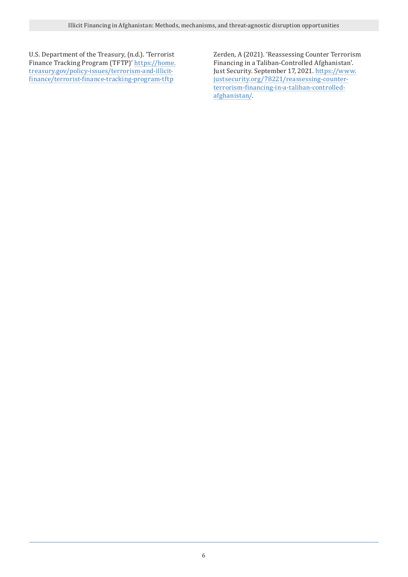U.S. Department of the Treasury, (n.d.). 'Terrorist Finance Tracking Program (TFTP)' [https://home.](https://home.treasury.gov/policy-issues/terrorism-and-illicit-finance/terrorist-finance-tracking-program-tftp) [treasury.gov/policy-issues/terrorism-and-illicit](https://home.treasury.gov/policy-issues/terrorism-and-illicit-finance/terrorist-finance-tracking-program-tftp)[finance/terrorist-finance-tracking-program-tftp](https://home.treasury.gov/policy-issues/terrorism-and-illicit-finance/terrorist-finance-tracking-program-tftp)

Zerden, A (2021). '[Reassessing Counter Terrorism](https://www.justsecurity.org/78221/reassessing-counter-terrorism-financing-in-a-taliban-controlled-afghanistan/)  [Financing in a Taliban-Controlled Afghanistan](https://www.justsecurity.org/78221/reassessing-counter-terrorism-financing-in-a-taliban-controlled-afghanistan/)'. Just Security. September 17, 2021. [https://www.](https://www.justsecurity.org/78221/reassessing-counter-terrorism-financing-in-a-taliban-controlled-afghanistan/) [justsecurity.org/78221/reassessing-counter](https://www.justsecurity.org/78221/reassessing-counter-terrorism-financing-in-a-taliban-controlled-afghanistan/)[terrorism-financing-in-a-taliban-controlled](https://www.justsecurity.org/78221/reassessing-counter-terrorism-financing-in-a-taliban-controlled-afghanistan/)[afghanistan/.](https://www.justsecurity.org/78221/reassessing-counter-terrorism-financing-in-a-taliban-controlled-afghanistan/)